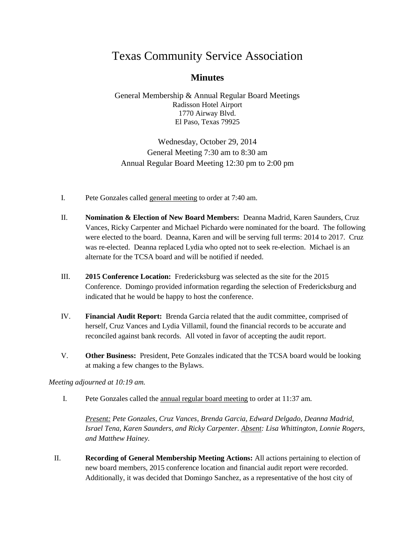# Texas Community Service Association

## **Minutes**

General Membership & Annual Regular Board Meetings Radisson Hotel Airport 1770 Airway Blvd. El Paso, Texas 79925

Wednesday, October 29, 2014 General Meeting 7:30 am to 8:30 am Annual Regular Board Meeting 12:30 pm to 2:00 pm

- I. Pete Gonzales called general meeting to order at 7:40 am.
- II. **Nomination & Election of New Board Members:** Deanna Madrid, Karen Saunders, Cruz Vances, Ricky Carpenter and Michael Pichardo were nominated for the board. The following were elected to the board. Deanna, Karen and will be serving full terms: 2014 to 2017. Cruz was re-elected. Deanna replaced Lydia who opted not to seek re-election. Michael is an alternate for the TCSA board and will be notified if needed.
- III. **2015 Conference Location:** Fredericksburg was selected as the site for the 2015 Conference. Domingo provided information regarding the selection of Fredericksburg and indicated that he would be happy to host the conference.
- IV. **Financial Audit Report:** Brenda Garcia related that the audit committee, comprised of herself, Cruz Vances and Lydia Villamil, found the financial records to be accurate and reconciled against bank records. All voted in favor of accepting the audit report.
- V. **Other Business:** President, Pete Gonzales indicated that the TCSA board would be looking at making a few changes to the Bylaws.

#### *Meeting adjourned at 10:19 am.*

I. Pete Gonzales called the annual regular board meeting to order at 11:37 am.

*Present: Pete Gonzales, Cruz Vances, Brenda Garcia, Edward Delgado, Deanna Madrid, Israel Tena, Karen Saunders, and Ricky Carpenter. Absent: Lisa Whittington, Lonnie Rogers, and Matthew Hainey.*

II. **Recording of General Membership Meeting Actions:** All actions pertaining to election of new board members, 2015 conference location and financial audit report were recorded. Additionally, it was decided that Domingo Sanchez, as a representative of the host city of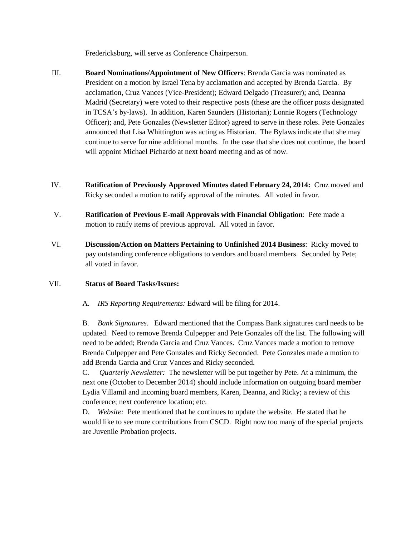Fredericksburg, will serve as Conference Chairperson.

- III. **Board Nominations/Appointment of New Officers**: Brenda Garcia was nominated as President on a motion by Israel Tena by acclamation and accepted by Brenda Garcia. By acclamation, Cruz Vances (Vice-President); Edward Delgado (Treasurer); and, Deanna Madrid (Secretary) were voted to their respective posts (these are the officer posts designated in TCSA's by-laws). In addition, Karen Saunders (Historian); Lonnie Rogers (Technology Officer); and, Pete Gonzales (Newsletter Editor) agreed to serve in these roles. Pete Gonzales announced that Lisa Whittington was acting as Historian. The Bylaws indicate that she may continue to serve for nine additional months. In the case that she does not continue, the board will appoint Michael Pichardo at next board meeting and as of now.
- IV. **Ratification of Previously Approved Minutes dated February 24, 2014:** Cruz moved and Ricky seconded a motion to ratify approval of the minutes. All voted in favor.
- V. **Ratification of Previous E-mail Approvals with Financial Obligation**: Pete made a motion to ratify items of previous approval. All voted in favor.
- VI. **Discussion/Action on Matters Pertaining to Unfinished 2014 Business**: Ricky moved to pay outstanding conference obligations to vendors and board members. Seconded by Pete; all voted in favor.

#### VII. **Status of Board Tasks/Issues:**

A. *IRS Reporting Requirements:* Edward will be filing for 2014.

B. *Bank Signatures*. Edward mentioned that the Compass Bank signatures card needs to be updated. Need to remove Brenda Culpepper and Pete Gonzales off the list. The following will need to be added; Brenda Garcia and Cruz Vances. Cruz Vances made a motion to remove Brenda Culpepper and Pete Gonzales and Ricky Seconded. Pete Gonzales made a motion to add Brenda Garcia and Cruz Vances and Ricky seconded.

C. *Quarterly Newsletter:* The newsletter will be put together by Pete. At a minimum, the next one (October to December 2014) should include information on outgoing board member Lydia Villamil and incoming board members, Karen, Deanna, and Ricky; a review of this conference; next conference location; etc.

D. *Website:* Pete mentioned that he continues to update the website. He stated that he would like to see more contributions from CSCD. Right now too many of the special projects are Juvenile Probation projects.